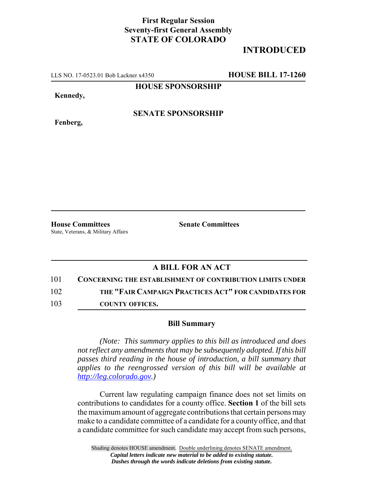## **First Regular Session Seventy-first General Assembly STATE OF COLORADO**

## **INTRODUCED**

LLS NO. 17-0523.01 Bob Lackner x4350 **HOUSE BILL 17-1260**

**HOUSE SPONSORSHIP**

**Kennedy,**

**Fenberg,**

**SENATE SPONSORSHIP**

**House Committees Senate Committees** State, Veterans, & Military Affairs

## **A BILL FOR AN ACT**

101 **CONCERNING THE ESTABLISHMENT OF CONTRIBUTION LIMITS UNDER** 102 **THE "FAIR CAMPAIGN PRACTICES ACT" FOR CANDIDATES FOR**

103 **COUNTY OFFICES.**

## **Bill Summary**

*(Note: This summary applies to this bill as introduced and does not reflect any amendments that may be subsequently adopted. If this bill passes third reading in the house of introduction, a bill summary that applies to the reengrossed version of this bill will be available at http://leg.colorado.gov.)*

Current law regulating campaign finance does not set limits on contributions to candidates for a county office. **Section 1** of the bill sets the maximum amount of aggregate contributions that certain persons may make to a candidate committee of a candidate for a county office, and that a candidate committee for such candidate may accept from such persons,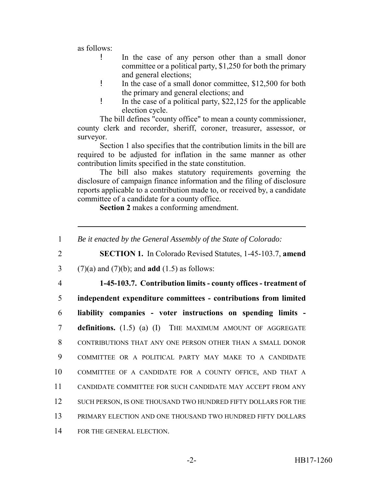as follows:

- ! In the case of any person other than a small donor committee or a political party, \$1,250 for both the primary and general elections;
- ! In the case of a small donor committee, \$12,500 for both the primary and general elections; and
- ! In the case of a political party, \$22,125 for the applicable election cycle.

The bill defines "county office" to mean a county commissioner, county clerk and recorder, sheriff, coroner, treasurer, assessor, or surveyor.

Section 1 also specifies that the contribution limits in the bill are required to be adjusted for inflation in the same manner as other contribution limits specified in the state constitution.

The bill also makes statutory requirements governing the disclosure of campaign finance information and the filing of disclosure reports applicable to a contribution made to, or received by, a candidate committee of a candidate for a county office.

**Section 2** makes a conforming amendment.

 *Be it enacted by the General Assembly of the State of Colorado:* **SECTION 1.** In Colorado Revised Statutes, 1-45-103.7, **amend** (7)(a) and (7)(b); and **add** (1.5) as follows: **1-45-103.7. Contribution limits - county offices - treatment of independent expenditure committees - contributions from limited liability companies - voter instructions on spending limits - definitions.** (1.5) (a) (I) THE MAXIMUM AMOUNT OF AGGREGATE CONTRIBUTIONS THAT ANY ONE PERSON OTHER THAN A SMALL DONOR COMMITTEE OR A POLITICAL PARTY MAY MAKE TO A CANDIDATE COMMITTEE OF A CANDIDATE FOR A COUNTY OFFICE, AND THAT A CANDIDATE COMMITTEE FOR SUCH CANDIDATE MAY ACCEPT FROM ANY 12 SUCH PERSON, IS ONE THOUSAND TWO HUNDRED FIFTY DOLLARS FOR THE PRIMARY ELECTION AND ONE THOUSAND TWO HUNDRED FIFTY DOLLARS FOR THE GENERAL ELECTION.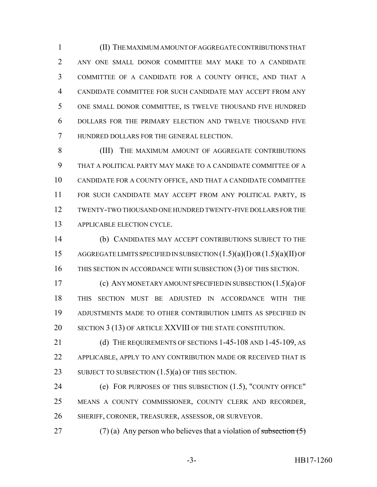(II) THE MAXIMUM AMOUNT OF AGGREGATE CONTRIBUTIONS THAT ANY ONE SMALL DONOR COMMITTEE MAY MAKE TO A CANDIDATE COMMITTEE OF A CANDIDATE FOR A COUNTY OFFICE, AND THAT A CANDIDATE COMMITTEE FOR SUCH CANDIDATE MAY ACCEPT FROM ANY ONE SMALL DONOR COMMITTEE, IS TWELVE THOUSAND FIVE HUNDRED DOLLARS FOR THE PRIMARY ELECTION AND TWELVE THOUSAND FIVE HUNDRED DOLLARS FOR THE GENERAL ELECTION.

 (III) THE MAXIMUM AMOUNT OF AGGREGATE CONTRIBUTIONS THAT A POLITICAL PARTY MAY MAKE TO A CANDIDATE COMMITTEE OF A CANDIDATE FOR A COUNTY OFFICE, AND THAT A CANDIDATE COMMITTEE FOR SUCH CANDIDATE MAY ACCEPT FROM ANY POLITICAL PARTY, IS TWENTY-TWO THOUSAND ONE HUNDRED TWENTY-FIVE DOLLARS FOR THE APPLICABLE ELECTION CYCLE.

 (b) CANDIDATES MAY ACCEPT CONTRIBUTIONS SUBJECT TO THE AGGREGATE LIMITS SPECIFIED IN SUBSECTION (1.5)(a)(I) OR (1.5)(a)(II) OF THIS SECTION IN ACCORDANCE WITH SUBSECTION (3) OF THIS SECTION.

 (c) ANY MONETARY AMOUNT SPECIFIED IN SUBSECTION (1.5)(a) OF THIS SECTION MUST BE ADJUSTED IN ACCORDANCE WITH THE ADJUSTMENTS MADE TO OTHER CONTRIBUTION LIMITS AS SPECIFIED IN 20 SECTION 3 (13) OF ARTICLE XXVIII OF THE STATE CONSTITUTION.

21 (d) THE REQUIREMENTS OF SECTIONS 1-45-108 AND 1-45-109, AS APPLICABLE, APPLY TO ANY CONTRIBUTION MADE OR RECEIVED THAT IS 23 SUBJECT TO SUBSECTION  $(1.5)(a)$  OF THIS SECTION.

 (e) FOR PURPOSES OF THIS SUBSECTION (1.5), "COUNTY OFFICE" MEANS A COUNTY COMMISSIONER, COUNTY CLERK AND RECORDER, SHERIFF, CORONER, TREASURER, ASSESSOR, OR SURVEYOR.

27 (7) (a) Any person who believes that a violation of subsection  $(5)$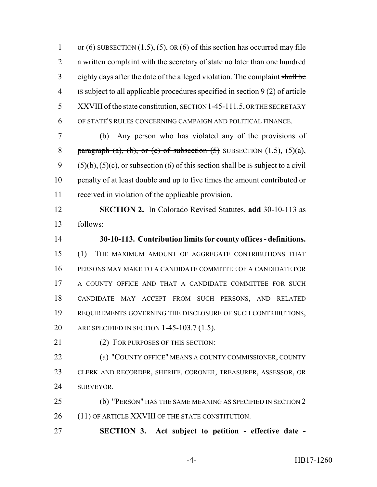1 or  $(6)$  SUBSECTION  $(1.5)$ ,  $(5)$ , OR  $(6)$  of this section has occurred may file a written complaint with the secretary of state no later than one hundred eighty days after the date of the alleged violation. The complaint shall be IS subject to all applicable procedures specified in section 9 (2) of article 5 XXVIII of the state constitution, SECTION 1-45-111.5, OR THE SECRETARY OF STATE'S RULES CONCERNING CAMPAIGN AND POLITICAL FINANCE.

 (b) Any person who has violated any of the provisions of 8 paragraph (a), (b), or (c) of subsection  $(5)$  SUBSECTION  $(1.5)$ ,  $(5)(a)$ , 9 (5)(b), (5)(c), or subsection (6) of this section shall be IS subject to a civil penalty of at least double and up to five times the amount contributed or received in violation of the applicable provision.

 **SECTION 2.** In Colorado Revised Statutes, **add** 30-10-113 as follows:

 **30-10-113. Contribution limits for county offices - definitions.** (1) THE MAXIMUM AMOUNT OF AGGREGATE CONTRIBUTIONS THAT PERSONS MAY MAKE TO A CANDIDATE COMMITTEE OF A CANDIDATE FOR A COUNTY OFFICE AND THAT A CANDIDATE COMMITTEE FOR SUCH CANDIDATE MAY ACCEPT FROM SUCH PERSONS, AND RELATED REQUIREMENTS GOVERNING THE DISCLOSURE OF SUCH CONTRIBUTIONS, ARE SPECIFIED IN SECTION 1-45-103.7 (1.5).

21 (2) FOR PURPOSES OF THIS SECTION:

 (a) "COUNTY OFFICE" MEANS A COUNTY COMMISSIONER, COUNTY CLERK AND RECORDER, SHERIFF, CORONER, TREASURER, ASSESSOR, OR SURVEYOR.

 (b) "PERSON" HAS THE SAME MEANING AS SPECIFIED IN SECTION 2 26 (11) OF ARTICLE XXVIII OF THE STATE CONSTITUTION.

**SECTION 3. Act subject to petition - effective date -**

-4- HB17-1260